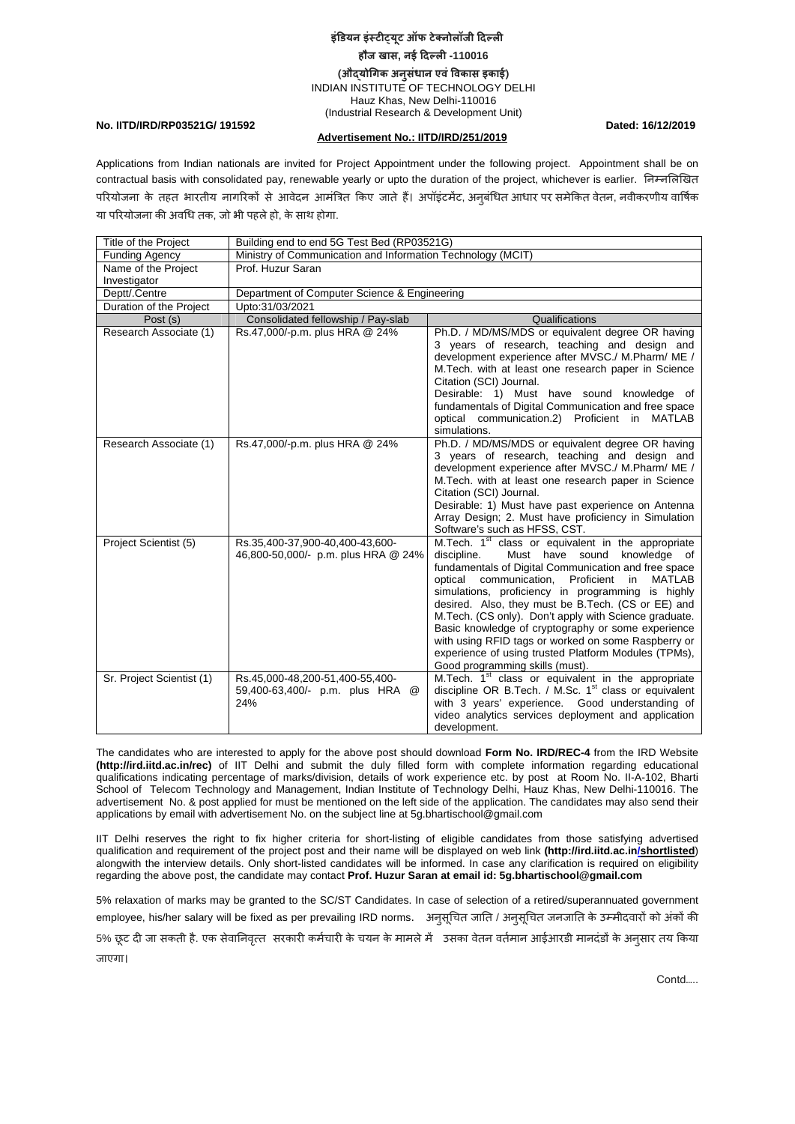## **इंिडयन इंèटीɪयू ट ऑफ टेक्नोलॉजी िदãली हौज खास, नई िदãली -110016 (औɮयोिगक अनु संधान एवंिवकास इकाई)** INDIAN INSTITUTE OF TECHNOLOGY DELHI Hauz Khas, New Delhi-110016

(Industrial Research & Development Unit)

**No. IITD/IRD/RP03521G/ 191592 Dated: 16/12/2019** 

## **Advertisement No.: IITD/IRD/251/2019**

Applications from Indian nationals are invited for Project Appointment under the following project. Appointment shall be on contractual basis with consolidated pay, renewable yearly or upto the duration of the project, whichever is earlier. निम्नलिखित परियोजना के तहत भारतीय नागरिको से आवेदन आमंत्रित किए जाते हैं। अपॉइंटमेंट, अनुबंधित आधार पर समेकित वेतन, नवीकरणीय वार्षिक या पिरयोजना की अविध तक, जो भी पहलेहो, के साथ होगा.

| <b>Title of the Project</b> | Building end to end 5G Test Bed (RP03521G)                                   |                                                                                                                                                                                                                                                                                                                                                                                                                                                                                                                                                                                                                   |
|-----------------------------|------------------------------------------------------------------------------|-------------------------------------------------------------------------------------------------------------------------------------------------------------------------------------------------------------------------------------------------------------------------------------------------------------------------------------------------------------------------------------------------------------------------------------------------------------------------------------------------------------------------------------------------------------------------------------------------------------------|
| <b>Funding Agency</b>       | Ministry of Communication and Information Technology (MCIT)                  |                                                                                                                                                                                                                                                                                                                                                                                                                                                                                                                                                                                                                   |
| Name of the Project         | Prof. Huzur Saran                                                            |                                                                                                                                                                                                                                                                                                                                                                                                                                                                                                                                                                                                                   |
| Investigator                |                                                                              |                                                                                                                                                                                                                                                                                                                                                                                                                                                                                                                                                                                                                   |
| Deptt/.Centre               | Department of Computer Science & Engineering                                 |                                                                                                                                                                                                                                                                                                                                                                                                                                                                                                                                                                                                                   |
| Duration of the Project     | Upto:31/03/2021                                                              |                                                                                                                                                                                                                                                                                                                                                                                                                                                                                                                                                                                                                   |
| Post (s)                    | Consolidated fellowship / Pay-slab                                           | Qualifications                                                                                                                                                                                                                                                                                                                                                                                                                                                                                                                                                                                                    |
| Research Associate (1)      | Rs.47,000/-p.m. plus HRA @ 24%                                               | Ph.D. / MD/MS/MDS or equivalent degree OR having<br>3 years of research, teaching and design and<br>development experience after MVSC./ M.Pharm/ ME /<br>M. Tech. with at least one research paper in Science<br>Citation (SCI) Journal.<br>Desirable: 1) Must have sound knowledge of<br>fundamentals of Digital Communication and free space<br>optical communication.2) Proficient in MATLAB<br>simulations.                                                                                                                                                                                                   |
| Research Associate (1)      | Rs.47,000/-p.m. plus HRA @ 24%                                               | Ph.D. / MD/MS/MDS or equivalent degree OR having<br>3 years of research, teaching and design and<br>development experience after MVSC./ M.Pharm/ ME /<br>M. Tech. with at least one research paper in Science<br>Citation (SCI) Journal.<br>Desirable: 1) Must have past experience on Antenna<br>Array Design; 2. Must have proficiency in Simulation<br>Software's such as HFSS, CST.                                                                                                                                                                                                                           |
| Project Scientist (5)       | Rs.35,400-37,900-40,400-43,600-<br>46,800-50,000/- p.m. plus HRA @ 24%       | M.Tech. 1 <sup>st</sup> class or equivalent in the appropriate<br>discipline.<br>Must have sound<br>knowledge of<br>fundamentals of Digital Communication and free space<br>optical communication,<br>Proficient in<br><b>MATLAB</b><br>simulations, proficiency in programming is highly<br>desired. Also, they must be B.Tech. (CS or EE) and<br>M. Tech. (CS only). Don't apply with Science graduate.<br>Basic knowledge of cryptography or some experience<br>with using RFID tags or worked on some Raspberry or<br>experience of using trusted Platform Modules (TPMs),<br>Good programming skills (must). |
| Sr. Project Scientist (1)   | Rs.45,000-48,200-51,400-55,400-<br>59,400-63,400/- p.m. plus HRA<br>@<br>24% | M.Tech. 1 <sup>st</sup> class or equivalent in the appropriate<br>discipline OR B.Tech. / M.Sc. 1 <sup>st</sup> class or equivalent<br>with 3 years' experience. Good understanding of<br>video analytics services deployment and application<br>development.                                                                                                                                                                                                                                                                                                                                                     |

The candidates who are interested to apply for the above post should download **Form No. IRD/REC-4** from the IRD Website **(http://ird.iitd.ac.in/rec)** of IIT Delhi and submit the duly filled form with complete information regarding educational qualifications indicating percentage of marks/division, details of work experience etc. by post at Room No. II-A-102, Bharti School of Telecom Technology and Management, Indian Institute of Technology Delhi, Hauz Khas, New Delhi-110016. The advertisement No. & post applied for must be mentioned on the left side of the application. The candidates may also send their applications by email with advertisement No. on the subject line at 5g.bhartischool@gmail.com

IIT Delhi reserves the right to fix higher criteria for short-listing of eligible candidates from those satisfying advertised qualification and requirement of the project post and their name will be displayed on web link **(http://ird.iitd.ac.in/shortlisted**) alongwith the interview details. Only short-listed candidates will be informed. In case any clarification is required on eligibility regarding the above post, the candidate may contact **Prof. Huzur Saran at email id: 5g.bhartischool@gmail.com** 

5% relaxation of marks may be granted to the SC/ST Candidates. In case of selection of a retired/superannuated government employee, his/her salary will be fixed as per prevailing IRD norms. अनुसूचित जाति / अनुसूचित जनजाति के उम्मीदवारों को अंकों की 5% छूट दी जा सकती है. एक सेवानिवृत्त सरकारी कमेचारी के चयन के मामले मे उसका वेतन वतेमान आईआरडी मानदडो के अनुसार तय किया जाएगा।

Contd…..